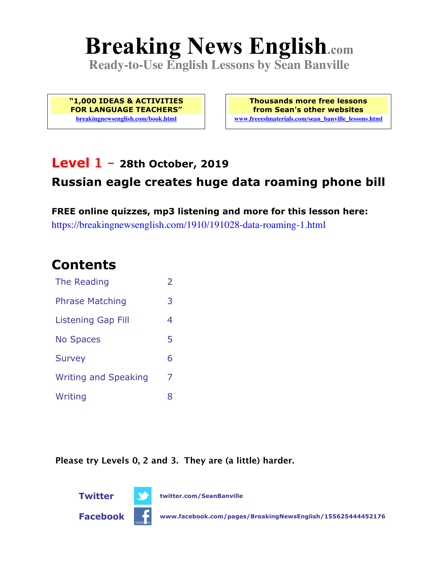# **Breaking News English.com**

**Ready-to-Use English Lessons by Sean Banville**

**"1,000 IDEAS & ACTIVITIES FOR LANGUAGE TEACHERS" breakingnewsenglish.com/book.html**

**Thousands more free lessons from Sean's other websites www.freeeslmaterials.com/sean\_banville\_lessons.html**

### **Level 1 - 28th October, 2019**

### **Russian eagle creates huge data roaming phone bill**

**FREE online quizzes, mp3 listening and more for this lesson here:** https://breakingnewsenglish.com/1910/191028-data-roaming-1.html

### **Contents**

| The Reading                 | $\overline{\phantom{a}}$ |
|-----------------------------|--------------------------|
| <b>Phrase Matching</b>      | 3                        |
| <b>Listening Gap Fill</b>   | 4                        |
| <b>No Spaces</b>            | 5                        |
| <b>Survey</b>               | 6                        |
| <b>Writing and Speaking</b> | 7                        |
| Writing                     | 8                        |

**Please try Levels 0, 2 and 3. They are (a little) harder.**

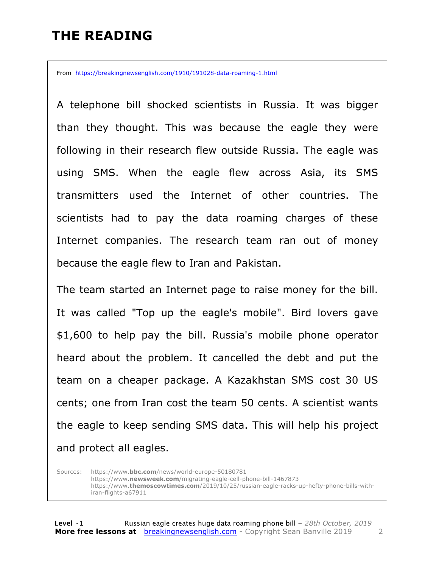## **THE READING**

From https://breakingnewsenglish.com/1910/191028-data-roaming-1.html

A telephone bill shocked scientists in Russia. It was bigger than they thought. This was because the eagle they were following in their research flew outside Russia. The eagle was using SMS. When the eagle flew across Asia, its SMS transmitters used the Internet of other countries. The scientists had to pay the data roaming charges of these Internet companies. The research team ran out of money because the eagle flew to Iran and Pakistan.

The team started an Internet page to raise money for the bill. It was called "Top up the eagle's mobile". Bird lovers gave \$1,600 to help pay the bill. Russia's mobile phone operator heard about the problem. It cancelled the debt and put the team on a cheaper package. A Kazakhstan SMS cost 30 US cents; one from Iran cost the team 50 cents. A scientist wants the eagle to keep sending SMS data. This will help his project and protect all eagles.

Sources: https://www.**bbc.com**/news/world-europe-50180781 https://www.**newsweek.com**/migrating-eagle-cell-phone-bill-1467873 https://www.**themoscowtimes.com**/2019/10/25/russian-eagle-racks-up-hefty-phone-bills-withiran-flights-a67911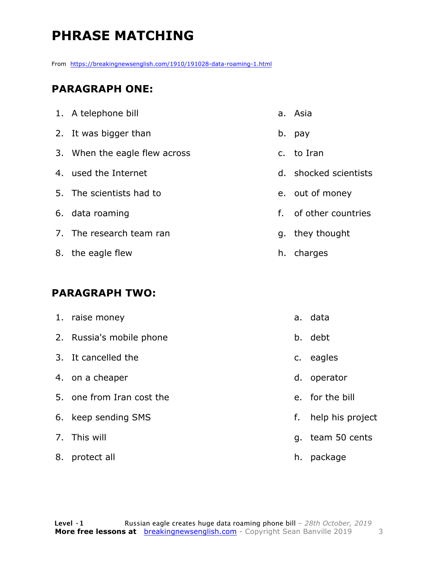# **PHRASE MATCHING**

From https://breakingnewsenglish.com/1910/191028-data-roaming-1.html

#### **PARAGRAPH ONE:**

| 1. A telephone bill           |    | a. Asia               |
|-------------------------------|----|-----------------------|
| 2. It was bigger than         |    | b. pay                |
| 3. When the eagle flew across |    | c. to Iran            |
| 4. used the Internet          |    | d. shocked scientists |
| 5. The scientists had to      |    | e. out of money       |
| 6. data roaming               | f. | of other countries    |
| 7. The research team ran      |    | g. they thought       |
| 8. the eagle flew             |    | h. charges            |

#### **PARAGRAPH TWO:**

| 1. raise money            |    | a. data          |
|---------------------------|----|------------------|
| 2. Russia's mobile phone  |    | b. debt          |
| 3. It cancelled the       |    | c. eagles        |
| 4. on a cheaper           |    | d. operator      |
| 5. one from Iran cost the |    | e. for the bill  |
| 6. keep sending SMS       | f. | help his project |
| 7. This will              |    | g. team 50 cents |
| 8. protect all            | h. | package          |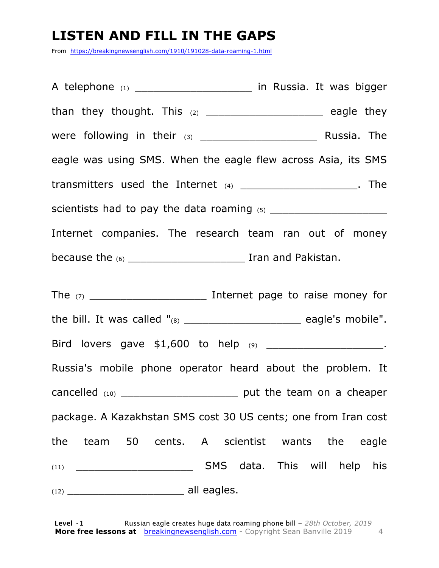# **LISTEN AND FILL IN THE GAPS**

From https://breakingnewsenglish.com/1910/191028-data-roaming-1.html

A telephone (1) **A** telephone (1) **A** in Russia. It was bigger than they thought. This (2) \_\_\_\_\_\_\_\_\_\_\_\_\_\_\_\_\_\_\_ eagle they were following in their (3) \_\_\_\_\_\_\_\_\_\_\_\_\_\_\_\_\_\_\_ Russia. The eagle was using SMS. When the eagle flew across Asia, its SMS transmitters used the Internet (4) \_\_\_\_\_\_\_\_\_\_\_\_\_\_\_\_\_\_\_\_\_\_. The scientists had to pay the data roaming (5) \_\_\_\_\_\_\_\_\_\_\_\_\_\_\_\_\_\_\_ Internet companies. The research team ran out of money because the (6) \_\_\_\_\_\_\_\_\_\_\_\_\_\_\_\_\_\_\_ Iran and Pakistan. The (7) \_\_\_\_\_\_\_\_\_\_\_\_\_\_\_\_\_\_\_ Internet page to raise money for the bill. It was called  $"_{(8)}$  \_\_\_\_\_\_\_\_\_\_\_\_\_\_\_\_\_\_\_\_\_\_\_\_\_\_\_\_\_\_\_ eagle's mobile". Bird lovers gave \$1,600 to help (9) \_\_\_\_\_\_\_\_\_\_\_\_\_\_\_\_\_\_\_\_\_\_\_. Russia's mobile phone operator heard about the problem. It cancelled (10) cancelled (10)

package. A Kazakhstan SMS cost 30 US cents; one from Iran cost the team 50 cents. A scientist wants the eagle (11) \_\_\_\_\_\_\_\_\_\_\_\_\_\_\_\_\_\_\_ SMS data. This will help his  $(12)$  all eagles.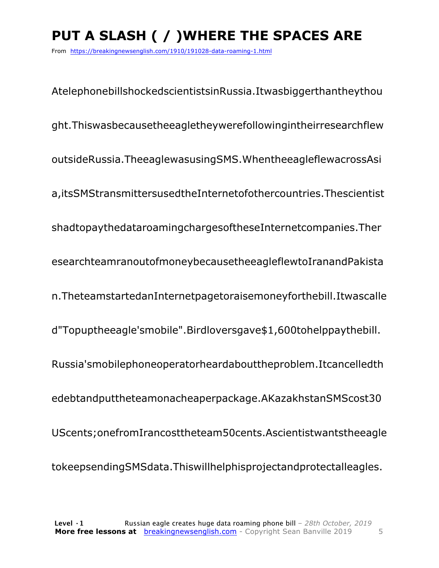# **PUT A SLASH ( / )WHERE THE SPACES ARE**

From https://breakingnewsenglish.com/1910/191028-data-roaming-1.html

AtelephonebillshockedscientistsinRussia.Itwasbiggerthantheythou ght.Thiswasbecausetheeagletheywerefollowingintheirresearchflew outsideRussia.TheeaglewasusingSMS.WhentheeagleflewacrossAsi a,itsSMStransmittersusedtheInternetofothercountries.Thescientist shadtopaythedataroamingchargesoftheseInternetcompanies.Ther esearchteamranoutofmoneybecausetheeagleflewtoIranandPakista n.TheteamstartedanInternetpagetoraisemoneyforthebill.Itwascalle d"Topuptheeagle'smobile".Birdloversgave\$1,600tohelppaythebill. Russia'smobilephoneoperatorheardabouttheproblem.Itcancelledth edebtandputtheteamonacheaperpackage.AKazakhstanSMScost30 UScents;onefromIrancosttheteam50cents.Ascientistwantstheeagle tokeepsendingSMSdata.Thiswillhelphisprojectandprotectalleagles.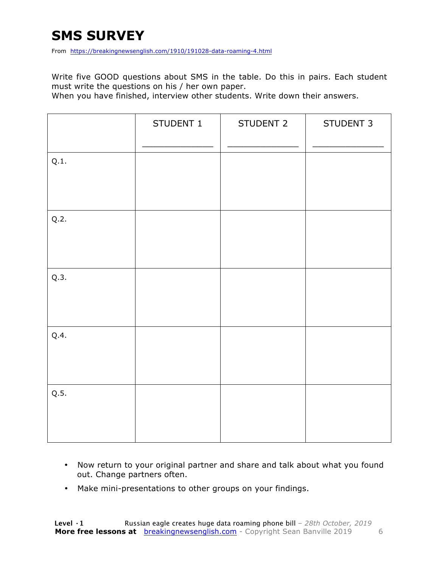# **SMS SURVEY**

From https://breakingnewsenglish.com/1910/191028-data-roaming-4.html

Write five GOOD questions about SMS in the table. Do this in pairs. Each student must write the questions on his / her own paper.

When you have finished, interview other students. Write down their answers.

|      | STUDENT 1 | STUDENT 2 | STUDENT 3 |
|------|-----------|-----------|-----------|
| Q.1. |           |           |           |
| Q.2. |           |           |           |
| Q.3. |           |           |           |
| Q.4. |           |           |           |
| Q.5. |           |           |           |

- Now return to your original partner and share and talk about what you found out. Change partners often.
- Make mini-presentations to other groups on your findings.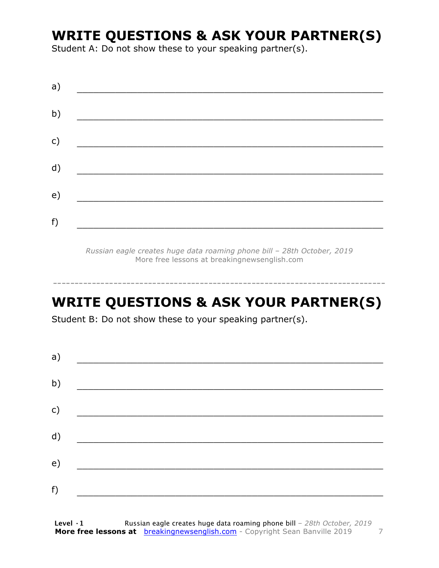# **WRITE QUESTIONS & ASK YOUR PARTNER(S)**

Student A: Do not show these to your speaking partner(s).

| a) |  |  |
|----|--|--|
| b) |  |  |
| c) |  |  |
| d) |  |  |
| e) |  |  |
| f) |  |  |
|    |  |  |

*Russian eagle creates huge data roaming phone bill – 28th October, 2019* More free lessons at breakingnewsenglish.com

# **WRITE QUESTIONS & ASK YOUR PARTNER(S)**

-----------------------------------------------------------------------------

Student B: Do not show these to your speaking partner(s).

| a) |  |  |
|----|--|--|
| b) |  |  |
| c) |  |  |
| d) |  |  |
| e) |  |  |
| f) |  |  |
|    |  |  |

**Level ·1** Russian eagle creates huge data roaming phone bill *– 28th October, 2019* **More free lessons at** breakingnewsenglish.com - Copyright Sean Banville 2019 7